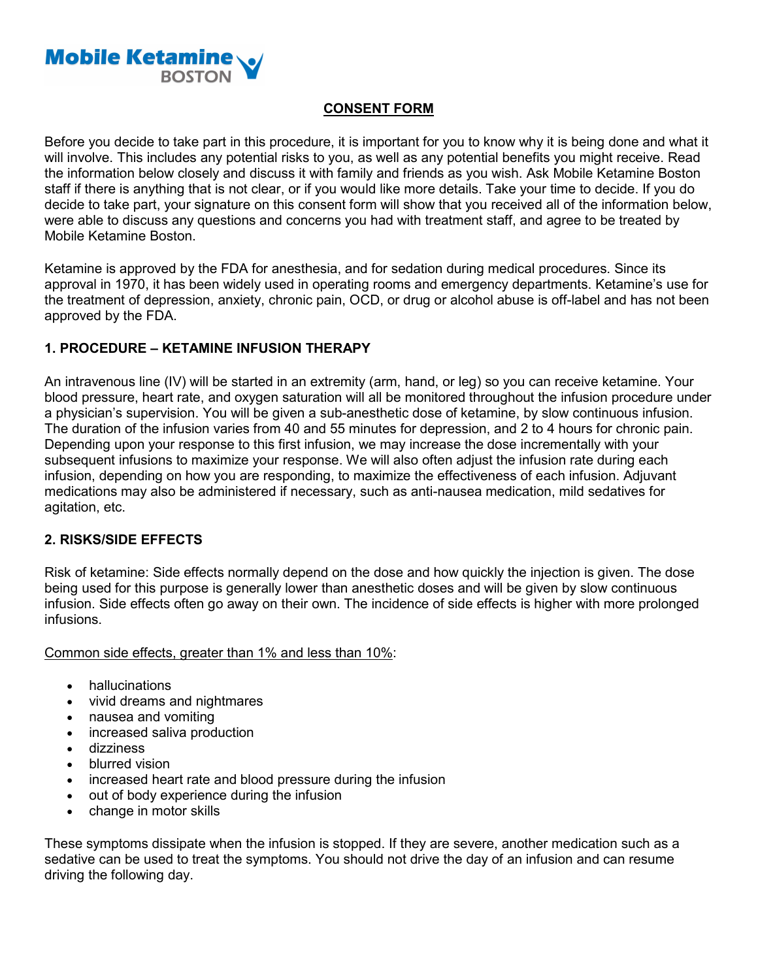

# **CONSENT FORM**

Before you decide to take part in this procedure, it is important for you to know why it is being done and what it will involve. This includes any potential risks to you, as well as any potential benefits you might receive. Read the information below closely and discuss it with family and friends as you wish. Ask Mobile Ketamine Boston staff if there is anything that is not clear, or if you would like more details. Take your time to decide. If you do decide to take part, your signature on this consent form will show that you received all of the information below, were able to discuss any questions and concerns you had with treatment staff, and agree to be treated by Mobile Ketamine Boston.

Ketamine is approved by the FDA for anesthesia, and for sedation during medical procedures. Since its approval in 1970, it has been widely used in operating rooms and emergency departments. Ketamine's use for the treatment of depression, anxiety, chronic pain, OCD, or drug or alcohol abuse is off-label and has not been approved by the FDA.

# **1. PROCEDURE – KETAMINE INFUSION THERAPY**

An intravenous line (IV) will be started in an extremity (arm, hand, or leg) so you can receive ketamine. Your blood pressure, heart rate, and oxygen saturation will all be monitored throughout the infusion procedure under a physician's supervision. You will be given a sub-anesthetic dose of ketamine, by slow continuous infusion. The duration of the infusion varies from 40 and 55 minutes for depression, and 2 to 4 hours for chronic pain. Depending upon your response to this first infusion, we may increase the dose incrementally with your subsequent infusions to maximize your response. We will also often adjust the infusion rate during each infusion, depending on how you are responding, to maximize the effectiveness of each infusion. Adjuvant medications may also be administered if necessary, such as anti-nausea medication, mild sedatives for agitation, etc.

# **2. RISKS/SIDE EFFECTS**

Risk of ketamine: Side effects normally depend on the dose and how quickly the injection is given. The dose being used for this purpose is generally lower than anesthetic doses and will be given by slow continuous infusion. Side effects often go away on their own. The incidence of side effects is higher with more prolonged infusions.

Common side effects, greater than 1% and less than 10%:

- hallucinations
- vivid dreams and nightmares
- nausea and vomiting
- increased saliva production
- dizziness
- blurred vision
- increased heart rate and blood pressure during the infusion
- out of body experience during the infusion
- change in motor skills

These symptoms dissipate when the infusion is stopped. If they are severe, another medication such as a sedative can be used to treat the symptoms. You should not drive the day of an infusion and can resume driving the following day.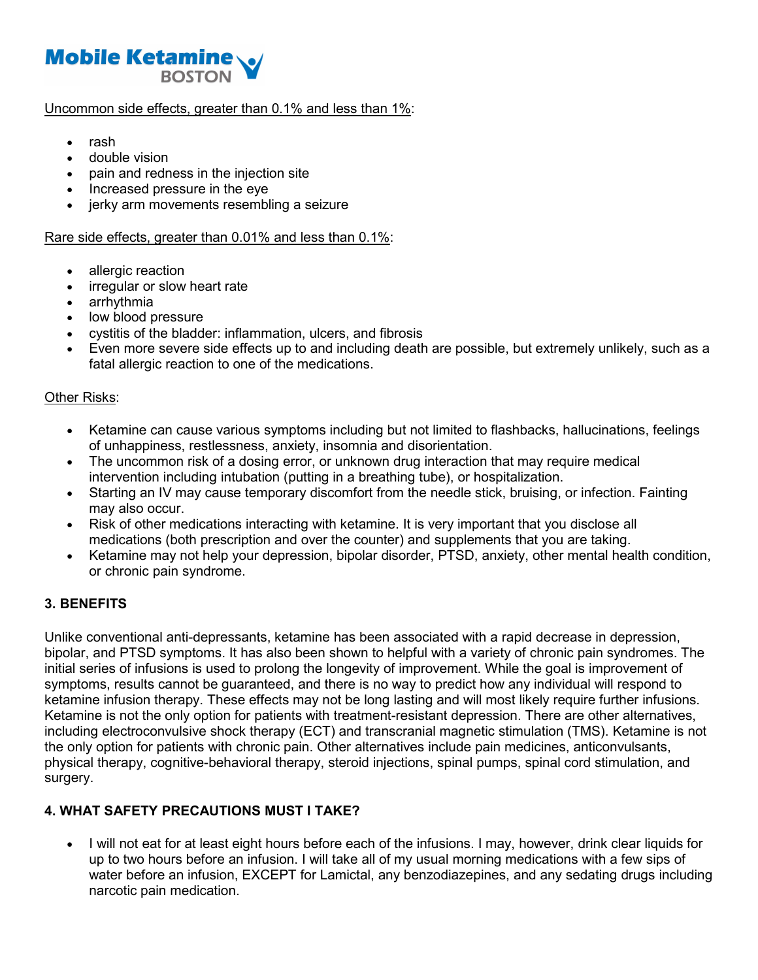

#### Uncommon side effects, greater than 0.1% and less than 1%:

- rash
- double vision
- pain and redness in the injection site
- Increased pressure in the eye
- jerky arm movements resembling a seizure

#### Rare side effects, greater than 0.01% and less than 0.1%:

- allergic reaction
- irregular or slow heart rate
- arrhythmia
- low blood pressure
- cystitis of the bladder: inflammation, ulcers, and fibrosis
- Even more severe side effects up to and including death are possible, but extremely unlikely, such as a fatal allergic reaction to one of the medications.

#### Other Risks:

- Ketamine can cause various symptoms including but not limited to flashbacks, hallucinations, feelings of unhappiness, restlessness, anxiety, insomnia and disorientation.
- The uncommon risk of a dosing error, or unknown drug interaction that may require medical intervention including intubation (putting in a breathing tube), or hospitalization.
- Starting an IV may cause temporary discomfort from the needle stick, bruising, or infection. Fainting may also occur.
- Risk of other medications interacting with ketamine. It is very important that you disclose all medications (both prescription and over the counter) and supplements that you are taking.
- Ketamine may not help your depression, bipolar disorder, PTSD, anxiety, other mental health condition, or chronic pain syndrome.

# **3. BENEFITS**

Unlike conventional anti-depressants, ketamine has been associated with a rapid decrease in depression, bipolar, and PTSD symptoms. It has also been shown to helpful with a variety of chronic pain syndromes. The initial series of infusions is used to prolong the longevity of improvement. While the goal is improvement of symptoms, results cannot be guaranteed, and there is no way to predict how any individual will respond to ketamine infusion therapy. These effects may not be long lasting and will most likely require further infusions. Ketamine is not the only option for patients with treatment-resistant depression. There are other alternatives, including electroconvulsive shock therapy (ECT) and transcranial magnetic stimulation (TMS). Ketamine is not the only option for patients with chronic pain. Other alternatives include pain medicines, anticonvulsants, physical therapy, cognitive-behavioral therapy, steroid injections, spinal pumps, spinal cord stimulation, and surgery.

# **4. WHAT SAFETY PRECAUTIONS MUST I TAKE?**

• I will not eat for at least eight hours before each of the infusions. I may, however, drink clear liquids for up to two hours before an infusion. I will take all of my usual morning medications with a few sips of water before an infusion, EXCEPT for Lamictal, any benzodiazepines, and any sedating drugs including narcotic pain medication.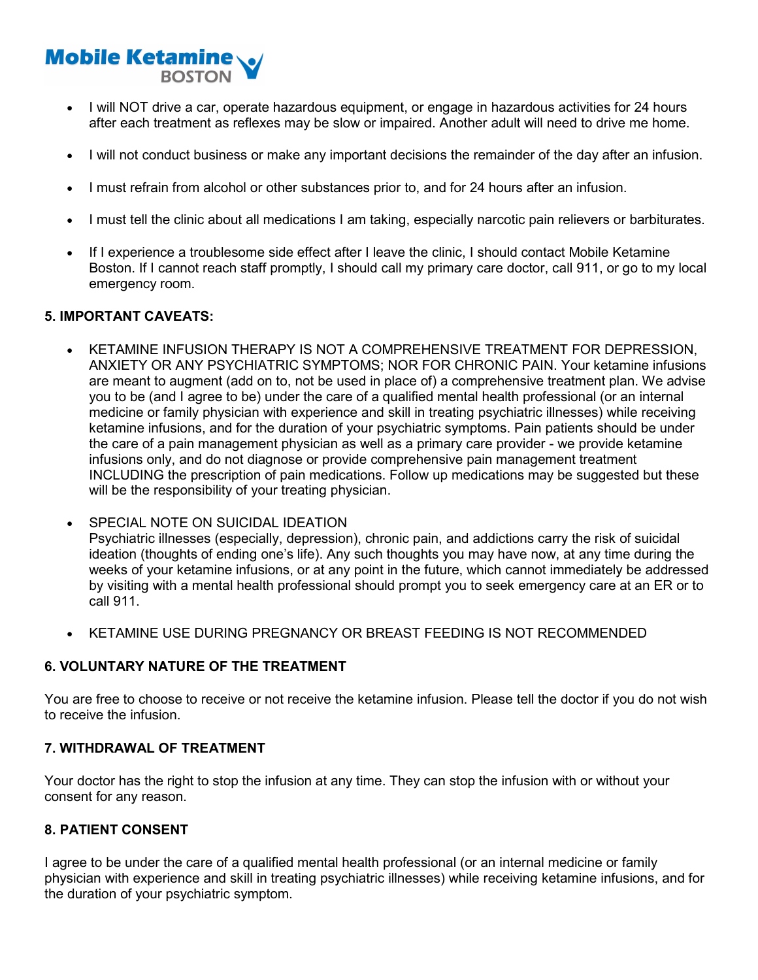# **Mobile Ketamine BOSTON**

- I will NOT drive a car, operate hazardous equipment, or engage in hazardous activities for 24 hours after each treatment as reflexes may be slow or impaired. Another adult will need to drive me home.
- I will not conduct business or make any important decisions the remainder of the day after an infusion.
- I must refrain from alcohol or other substances prior to, and for 24 hours after an infusion.
- I must tell the clinic about all medications I am taking, especially narcotic pain relievers or barbiturates.
- If I experience a troublesome side effect after I leave the clinic, I should contact Mobile Ketamine Boston. If I cannot reach staff promptly, I should call my primary care doctor, call 911, or go to my local emergency room.

# **5. IMPORTANT CAVEATS:**

- KETAMINE INFUSION THERAPY IS NOT A COMPREHENSIVE TREATMENT FOR DEPRESSION, ANXIETY OR ANY PSYCHIATRIC SYMPTOMS; NOR FOR CHRONIC PAIN. Your ketamine infusions are meant to augment (add on to, not be used in place of) a comprehensive treatment plan. We advise you to be (and I agree to be) under the care of a qualified mental health professional (or an internal medicine or family physician with experience and skill in treating psychiatric illnesses) while receiving ketamine infusions, and for the duration of your psychiatric symptoms. Pain patients should be under the care of a pain management physician as well as a primary care provider - we provide ketamine infusions only, and do not diagnose or provide comprehensive pain management treatment INCLUDING the prescription of pain medications. Follow up medications may be suggested but these will be the responsibility of your treating physician.
- SPECIAL NOTE ON SUICIDAL IDEATION Psychiatric illnesses (especially, depression), chronic pain, and addictions carry the risk of suicidal ideation (thoughts of ending one's life). Any such thoughts you may have now, at any time during the weeks of your ketamine infusions, or at any point in the future, which cannot immediately be addressed by visiting with a mental health professional should prompt you to seek emergency care at an ER or to call 911.
- KETAMINE USE DURING PREGNANCY OR BREAST FEEDING IS NOT RECOMMENDED

# **6. VOLUNTARY NATURE OF THE TREATMENT**

You are free to choose to receive or not receive the ketamine infusion. Please tell the doctor if you do not wish to receive the infusion.

# **7. WITHDRAWAL OF TREATMENT**

Your doctor has the right to stop the infusion at any time. They can stop the infusion with or without your consent for any reason.

# **8. PATIENT CONSENT**

I agree to be under the care of a qualified mental health professional (or an internal medicine or family physician with experience and skill in treating psychiatric illnesses) while receiving ketamine infusions, and for the duration of your psychiatric symptom.